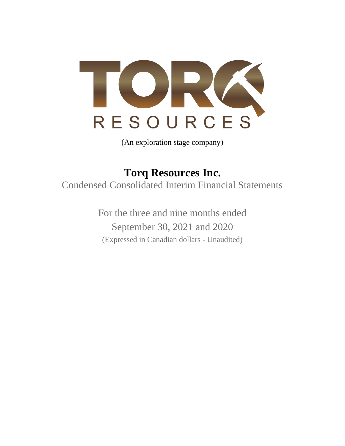

(An exploration stage company)

**Torq Resources Inc.** Condensed Consolidated Interim Financial Statements

> For the three and nine months ended September 30, 2021 and 2020 (Expressed in Canadian dollars - Unaudited)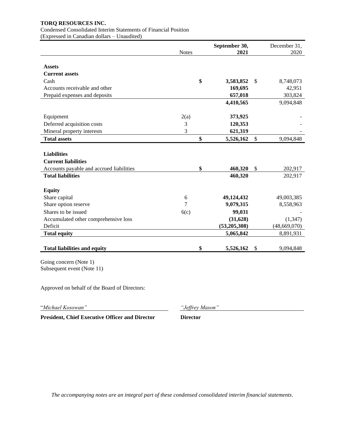Condensed Consolidated Interim Statements of Financial Position

(Expressed in Canadian dollars – Unaudited)

|                                                      | <b>Notes</b> | September 30,<br>2021 |                           | December 31,<br>2020 |
|------------------------------------------------------|--------------|-----------------------|---------------------------|----------------------|
|                                                      |              |                       |                           |                      |
| <b>Assets</b><br><b>Current assets</b>               |              |                       |                           |                      |
|                                                      |              |                       |                           |                      |
| Cash                                                 |              | \$<br>3,583,852       | \$                        | 8,748,073            |
| Accounts receivable and other                        |              | 169,695<br>657,018    |                           | 42,951               |
| Prepaid expenses and deposits                        |              |                       |                           | 303,824              |
|                                                      |              | 4,410,565             |                           | 9,094,848            |
| Equipment                                            | 2(a)         | 373,925               |                           |                      |
| Deferred acquisition costs                           | 3            | 120,353               |                           |                      |
| Mineral property interests                           | 3            | 621,319               |                           |                      |
| <b>Total assets</b>                                  |              | \$<br>5,526,162       | $\boldsymbol{\mathsf{S}}$ | 9,094,848            |
|                                                      |              |                       |                           |                      |
| <b>Liabilities</b>                                   |              |                       |                           |                      |
| <b>Current liabilities</b>                           |              |                       |                           |                      |
| Accounts payable and accrued liabilities             |              | \$<br>460,320         | \$                        | 202,917              |
| <b>Total liabilities</b>                             |              | 460,320               |                           | 202,917              |
| <b>Equity</b>                                        |              |                       |                           |                      |
| Share capital                                        | 6            | 49,124,432            |                           | 49,003,385           |
| Share option reserve                                 | 7            | 9,079,315             |                           | 8,558,963            |
| Shares to be issued                                  | 6(c)         | 99,031                |                           |                      |
| Accumulated other comprehensive loss                 |              | (31, 628)             |                           | (1, 347)             |
| Deficit                                              |              | (53,205,308)          |                           | (48,669,070)         |
| <b>Total equity</b>                                  |              | 5,065,842             |                           | 8,891,931            |
|                                                      |              |                       |                           |                      |
| <b>Total liabilities and equity</b>                  |              | \$<br>5,526,162       | \$                        | 9,094,848            |
| Going concern (Note 1)<br>Subsequent event (Note 11) |              |                       |                           |                      |

Approved on behalf of the Board of Directors:

"*Michael Kosowan" "Jeffrey Mason"*

**President, Chief Executive Officer and Director Director**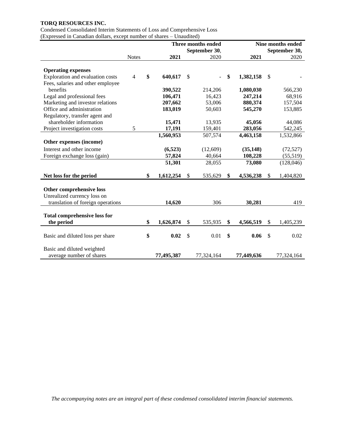Condensed Consolidated Interim Statements of Loss and Comprehensive Loss (Expressed in Canadian dollars, except number of shares – Unaudited)

|                                                        |                |                 |               | Three months ended | Nine months ended |            |               |               |
|--------------------------------------------------------|----------------|-----------------|---------------|--------------------|-------------------|------------|---------------|---------------|
|                                                        |                |                 |               | September 30,      |                   |            |               | September 30, |
|                                                        | <b>Notes</b>   | 2021            |               | 2020               |                   | 2021       |               | 2020          |
|                                                        |                |                 |               |                    |                   |            |               |               |
| <b>Operating expenses</b>                              |                |                 |               |                    |                   |            |               |               |
| Exploration and evaluation costs                       | $\overline{4}$ | \$<br>640,617   | $\mathcal{S}$ |                    | \$                | 1,382,158  | <sup>\$</sup> |               |
| Fees, salaries and other employee                      |                |                 |               |                    |                   |            |               |               |
| benefits                                               |                | 390,522         |               | 214,206            |                   | 1,080,030  |               | 566,230       |
| Legal and professional fees                            |                | 106,471         |               | 16,423             |                   | 247,214    |               | 68,916        |
| Marketing and investor relations                       |                | 207,662         |               | 53,006             |                   | 880,374    |               | 157,504       |
| Office and administration                              |                | 183,019         |               | 50,603             |                   | 545,270    |               | 153,885       |
| Regulatory, transfer agent and                         |                |                 |               |                    |                   |            |               |               |
| shareholder information                                |                | 15,471          |               | 13,935             |                   | 45,056     |               | 44,086        |
| Project investigation costs                            | 5              | 17,191          |               | 159,401            |                   | 283,056    |               | 542,245       |
|                                                        |                | 1,560,953       |               | 507,574            |                   | 4,463,158  |               | 1,532,866     |
| Other expenses (income)                                |                |                 |               |                    |                   |            |               |               |
| Interest and other income                              |                | (6,523)         |               | (12,609)           |                   | (35, 148)  |               | (72, 527)     |
| Foreign exchange loss (gain)                           |                | 57,824          |               | 40,664             |                   | 108,228    |               | (55,519)      |
|                                                        |                | 51,301          |               | 28,055             |                   | 73,080     |               | (128, 046)    |
|                                                        |                |                 |               |                    |                   |            |               |               |
| Net loss for the period                                |                | \$<br>1,612,254 | \$            | 535,629            | \$                | 4,536,238  | <sup>\$</sup> | 1,404,820     |
|                                                        |                |                 |               |                    |                   |            |               |               |
| Other comprehensive loss                               |                |                 |               |                    |                   |            |               |               |
| Unrealized currency loss on                            |                |                 |               |                    |                   |            |               |               |
| translation of foreign operations                      |                | 14,620          |               | 306                |                   | 30,281     |               | 419           |
|                                                        |                |                 |               |                    |                   |            |               |               |
| <b>Total comprehensive loss for</b>                    |                |                 |               |                    |                   |            |               |               |
| the period                                             |                | \$<br>1,626,874 | \$            | 535,935            | \$                | 4,566,519  | \$            | 1,405,239     |
|                                                        |                |                 |               |                    |                   |            |               |               |
| Basic and diluted loss per share                       |                | \$<br>0.02      | $\mathcal{S}$ | 0.01               | \$                | 0.06       | <sup>\$</sup> | 0.02          |
|                                                        |                |                 |               |                    |                   |            |               |               |
| Basic and diluted weighted<br>average number of shares |                | 77,495,387      |               | 77,324,164         |                   | 77,449,636 |               | 77,324,164    |
|                                                        |                |                 |               |                    |                   |            |               |               |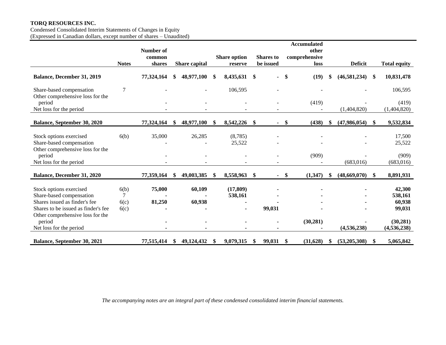Condensed Consolidated Interim Statements of Changes in Equity (Expressed in Canadian dollars, except number of shares – Unaudited)

|                                                                                         |                | Number of  |     |                      |     |                     |               |                  |      | <b>Accumulated</b><br>other |    |                |               |                      |
|-----------------------------------------------------------------------------------------|----------------|------------|-----|----------------------|-----|---------------------|---------------|------------------|------|-----------------------------|----|----------------|---------------|----------------------|
|                                                                                         |                | common     |     |                      |     | <b>Share option</b> |               | <b>Shares</b> to |      | comprehensive               |    |                |               |                      |
|                                                                                         | <b>Notes</b>   | shares     |     | <b>Share capital</b> |     | reserve             |               | be issued        |      | loss                        |    | <b>Deficit</b> |               | <b>Total equity</b>  |
| Balance, December 31, 2019                                                              |                | 77,324,164 | \$  | 48,977,100           | \$. | 8,435,631           | -S            |                  | \$   | (19)                        |    | (46,581,234)   | \$            | 10,831,478           |
| Share-based compensation<br>Other comprehensive loss for the                            | $\overline{7}$ |            |     |                      |     | 106,595             |               |                  |      |                             |    |                |               | 106,595              |
| period<br>Net loss for the period                                                       |                |            |     |                      |     |                     |               |                  |      | (419)                       |    | (1,404,820)    |               | (419)<br>(1,404,820) |
| Balance, September 30, 2020                                                             |                | 77,324,164 | \$  | 48,977,100           | -S  | 8,542,226           | -\$           |                  | - \$ | (438)                       | \$ | (47,986,054)   | <sup>\$</sup> | 9,532,834            |
|                                                                                         |                |            |     |                      |     | (8,785)             |               |                  |      |                             |    |                |               |                      |
| Stock options exercised<br>Share-based compensation<br>Other comprehensive loss for the | 6(b)           | 35,000     |     | 26,285               |     | 25,522              |               |                  |      |                             |    |                |               | 17,500<br>25,522     |
| period                                                                                  |                |            |     |                      |     |                     |               |                  |      | (909)                       |    |                |               | (909)                |
| Net loss for the period                                                                 |                |            |     |                      |     |                     |               |                  |      |                             |    | (683, 016)     |               | (683, 016)           |
| Balance, December 31, 2020                                                              |                | 77,359,164 | -SS | 49,003,385           | -S  | 8,558,963           | $\mathbf{\$}$ |                  | - \$ | (1,347)                     | \$ | (48,669,070)   | \$            | 8,891,931            |
| Stock options exercised                                                                 | 6(b)           | 75,000     |     | 60,109               |     | (17, 809)           |               |                  |      |                             |    |                |               | 42,300               |
| Share-based compensation                                                                | $\overline{7}$ |            |     |                      |     | 538,161             |               |                  |      |                             |    |                |               | 538,161              |
| Shares issued as finder's fee                                                           | 6(c)           | 81,250     |     | 60,938               |     |                     |               |                  |      |                             |    |                |               | 60,938               |
| Shares to be issued as finder's fee                                                     | 6(c)           |            |     |                      |     |                     |               | 99,031           |      |                             |    |                |               | 99,031               |
| Other comprehensive loss for the<br>period                                              |                |            |     |                      |     |                     |               |                  |      | (30, 281)                   |    |                |               | (30, 281)            |
| Net loss for the period                                                                 |                |            |     |                      |     |                     |               |                  |      |                             |    | (4,536,238)    |               | (4, 536, 238)        |
| <b>Balance, September 30, 2021</b>                                                      |                | 77,515,414 | S   | 49,124,432           | -SS | 9,079,315           | -\$           | 99,031           | - \$ | (31,628)                    | S  | (53,205,308)   | -S            | 5,065,842            |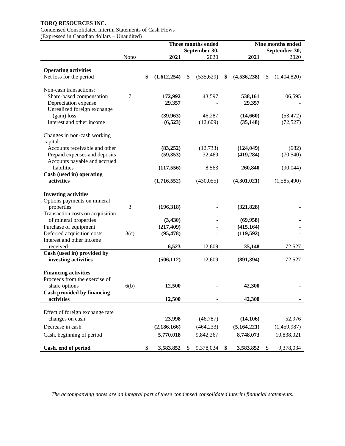# Condensed Consolidated Interim Statements of Cash Flows

(Expressed in Canadian dollars – Unaudited)

|                                         |              |                   | Three months ended    |                     | Nine months ended<br>September 30, |             |  |  |
|-----------------------------------------|--------------|-------------------|-----------------------|---------------------|------------------------------------|-------------|--|--|
|                                         | <b>Notes</b> | 2021              | September 30,<br>2020 | 2021                |                                    | 2020        |  |  |
|                                         |              |                   |                       |                     |                                    |             |  |  |
| <b>Operating activities</b>             |              |                   |                       |                     |                                    |             |  |  |
| Net loss for the period                 |              | \$<br>(1,612,254) | \$<br>(535, 629)      | \$<br>(4, 536, 238) | \$                                 | (1,404,820) |  |  |
| Non-cash transactions:                  |              |                   |                       |                     |                                    |             |  |  |
| Share-based compensation                | 7            | 172,992           | 43,597                | 538,161             |                                    | 106,595     |  |  |
| Depreciation expense                    |              | 29,357            |                       | 29,357              |                                    |             |  |  |
| Unrealized foreign exchange             |              |                   |                       |                     |                                    |             |  |  |
| (gain) loss                             |              | (39, 963)         | 46,287                | (14,660)            |                                    | (53, 472)   |  |  |
| Interest and other income               |              | (6, 523)          | (12,609)              | (35, 148)           |                                    | (72, 527)   |  |  |
| Changes in non-cash working<br>capital: |              |                   |                       |                     |                                    |             |  |  |
| Accounts receivable and other           |              | (83,252)          | (12, 733)             | (124, 049)          |                                    | (682)       |  |  |
| Prepaid expenses and deposits           |              | (59, 353)         | 32,469                | (419, 284)          |                                    | (70, 540)   |  |  |
| Accounts payable and accrued            |              |                   |                       |                     |                                    |             |  |  |
| liabilities                             |              | (117, 556)        | 8,563                 | 260,840             |                                    | (90,044)    |  |  |
| Cash (used in) operating                |              |                   |                       |                     |                                    |             |  |  |
| activities                              |              | (1,716,552)       | (430, 055)            | (4,301,021)         |                                    | (1,585,490) |  |  |
| <b>Investing activities</b>             |              |                   |                       |                     |                                    |             |  |  |
| Options payments on mineral             |              |                   |                       |                     |                                    |             |  |  |
| properties                              | 3            | (196,318)         |                       | (321, 828)          |                                    |             |  |  |
| Transaction costs on acquisition        |              |                   |                       |                     |                                    |             |  |  |
| of mineral properties                   |              | (3, 430)          |                       | (69, 958)           |                                    |             |  |  |
| Purchase of equipment                   |              | (217, 409)        |                       | (415, 164)          |                                    |             |  |  |
| Deferred acquisition costs              | 3(c)         | (95, 478)         |                       | (119, 592)          |                                    |             |  |  |
| Interest and other income               |              |                   |                       |                     |                                    |             |  |  |
| received                                |              | 6,523             | 12,609                | 35,148              |                                    | 72,527      |  |  |
| Cash (used in) provided by              |              |                   |                       |                     |                                    |             |  |  |
| investing activities                    |              | (506, 112)        | 12,609                | (891,394)           |                                    | 72,527      |  |  |
| <b>Financing activities</b>             |              |                   |                       |                     |                                    |             |  |  |
| Proceeds from the exercise of           |              |                   |                       |                     |                                    |             |  |  |
| share options                           | 6(b)         | 12,500            |                       | 42,300              |                                    |             |  |  |
| <b>Cash provided by financing</b>       |              |                   |                       |                     |                                    |             |  |  |
| activities                              |              | 12,500            |                       | 42,300              |                                    |             |  |  |
|                                         |              |                   |                       |                     |                                    |             |  |  |
| Effect of foreign exchange rate         |              |                   |                       |                     |                                    |             |  |  |
| changes on cash                         |              | 23,998            | (46, 787)             | (14, 106)           |                                    | 52,976      |  |  |
| Decrease in cash                        |              | (2, 186, 166)     | (464, 233)            | (5,164,221)         |                                    | (1,459,987) |  |  |
| Cash, beginning of period               |              | 5,770,018         | 9,842,267             | 8,748,073           |                                    | 10,838,021  |  |  |
| Cash, end of period                     |              | \$<br>3,583,852   | \$<br>9,378,034       | \$<br>3,583,852     | \$                                 | 9,378,034   |  |  |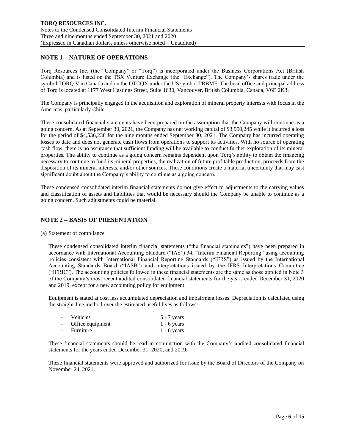## **NOTE 1 – NATURE OF OPERATIONS**

Torq Resources Inc. (the "Company" or "Torq") is incorporated under the Business Corporations Act (British Columbia) and is listed on the TSX Venture Exchange (the "Exchange"). The Company's shares trade under the symbol TORQ.V in Canada and on the OTCQX under the US symbol TRBMF. The head office and principal address of Torq is located at 1177 West Hastings Street, Suite 1630, Vancouver, British Columbia, Canada, V6E 2K3.

The Company is principally engaged in the acquisition and exploration of mineral property interests with focus in the Americas, particularly Chile.

These consolidated financial statements have been prepared on the assumption that the Company will continue as a going concern. As at September 30, 2021, the Company has net working capital of \$3,950,245 while it incurred a loss for the period of \$4,536,238 for the nine months ended September 30, 2021. The Company has incurred operating losses to date and does not generate cash flows from operations to support its activities. With no source of operating cash flow, there is no assurance that sufficient funding will be available to conduct further exploration of its mineral properties. The ability to continue as a going concern remains dependent upon Torq's ability to obtain the financing necessary to continue to fund its mineral properties, the realization of future profitable production, proceeds from the disposition of its mineral interests, and/or other sources. These conditions create a material uncertainty that may cast significant doubt about the Company's ability to continue as a going concern.

These condensed consolidated interim financial statements do not give effect to adjustments to the carrying values and classification of assets and liabilities that would be necessary should the Company be unable to continue as a going concern. Such adjustments could be material.

## **NOTE 2 – BASIS OF PRESENTATION**

(a) Statement of compliance

These condensed consolidated interim financial statements ("the financial statements") have been prepared in accordance with International Accounting Standard ("IAS") 34, "Interim Financial Reporting" using accounting policies consistent with International Financial Reporting Standards ("IFRS") as issued by the International Accounting Standards Board ("IASB") and interpretations issued by the IFRS Interpretations Committee ("IFRIC"). The accounting policies followed in these financial statements are the same as those applied in Note 3 of the Company's most recent audited consolidated financial statements for the years ended December 31, 2020 and 2019, except for a new accounting policy for equipment.

Equipment is stated at cost less accumulated depreciation and impairment losses. Depreciation is calculated using the straight-line method over the estimated useful lives as follows:

| - Vehicles         | $5 - 7$ years |
|--------------------|---------------|
| - Office equipment | $1 - 6$ years |
| - Furniture        | $1 - 6$ years |

These financial statements should be read in conjunction with the Company's audited consolidated financial statements for the years ended December 31, 2020, and 2019.

These financial statements were approved and authorized for issue by the Board of Directors of the Company on November 24, 2021.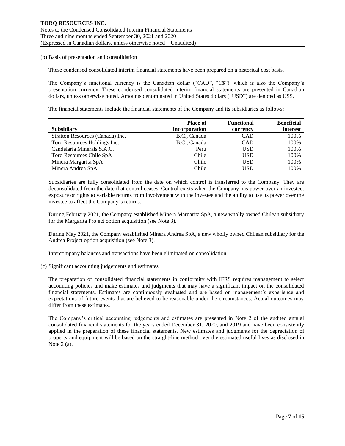(b) Basis of presentation and consolidation

These condensed consolidated interim financial statements have been prepared on a historical cost basis.

The Company's functional currency is the Canadian dollar ("CAD", "C\$"), which is also the Company's presentation currency. These condensed consolidated interim financial statements are presented in Canadian dollars, unless otherwise noted. Amounts denominated in United States dollars ("USD") are denoted as US\$.

The financial statements include the financial statements of the Company and its subsidiaries as follows:

|                                  | <b>Place of</b> | <b>Functional</b> | <b>Beneficial</b> |
|----------------------------------|-----------------|-------------------|-------------------|
| <b>Subsidiary</b>                | incorporation   | currency          | interest          |
| Stratton Resources (Canada) Inc. | B.C., Canada    | <b>CAD</b>        | 100%              |
| Torq Resources Holdings Inc.     | B.C., Canada    | <b>CAD</b>        | 100%              |
| Candelaria Minerals S.A.C.       | Peru            | USD               | 100%              |
| Torq Resources Chile SpA         | Chile           | USD               | 100%              |
| Minera Margarita SpA             | Chile           | <b>USD</b>        | 100%              |
| Minera Andrea SpA                | Chile           | USD               | 100%              |

Subsidiaries are fully consolidated from the date on which control is transferred to the Company. They are deconsolidated from the date that control ceases. Control exists when the Company has power over an investee, exposure or rights to variable returns from involvement with the investee and the ability to use its power over the investee to affect the Company's returns.

During February 2021, the Company established Minera Margarita SpA, a new wholly owned Chilean subsidiary for the Margarita Project option acquisition (see Note 3).

During May 2021, the Company established Minera Andrea SpA, a new wholly owned Chilean subsidiary for the Andrea Project option acquisition (see Note 3).

Intercompany balances and transactions have been eliminated on consolidation.

(c) Significant accounting judgements and estimates

The preparation of consolidated financial statements in conformity with IFRS requires management to select accounting policies and make estimates and judgments that may have a significant impact on the consolidated financial statements. Estimates are continuously evaluated and are based on management's experience and expectations of future events that are believed to be reasonable under the circumstances. Actual outcomes may differ from these estimates.

The Company's critical accounting judgements and estimates are presented in Note 2 of the audited annual consolidated financial statements for the years ended December 31, 2020, and 2019 and have been consistently applied in the preparation of these financial statements. New estimates and judgments for the depreciation of property and equipment will be based on the straight-line method over the estimated useful lives as disclosed in Note 2 (a).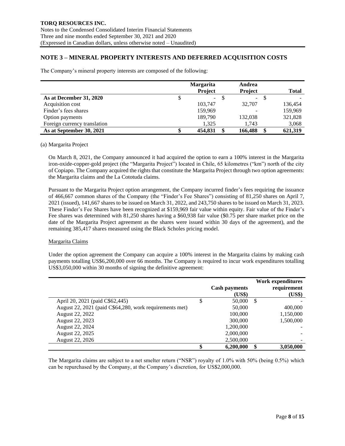## **NOTE 3 – MINERAL PROPERTY INTERESTS AND DEFERRED ACQUISITION COSTS**

The Company's mineral property interests are composed of the following:

|                              |   | <b>Margarita</b> |    | Andrea         |      |                          |
|------------------------------|---|------------------|----|----------------|------|--------------------------|
|                              |   | <b>Project</b>   |    | <b>Project</b> |      | <b>Total</b>             |
| As at December 31, 2020      | Φ | $\sim$           | -8 | $\sim$         | - \$ | $\overline{\phantom{0}}$ |
| Acquisition cost             |   | 103.747          |    | 32,707         |      | 136,454                  |
| Finder's fees shares         |   | 159,969          |    |                |      | 159,969                  |
| Option payments              |   | 189,790          |    | 132,038        |      | 321,828                  |
| Foreign currency translation |   | 1,325            |    | 1,743          |      | 3,068                    |
| As at September 30, 2021     |   | 454.831          |    | 166,488        |      | 621,319                  |

#### (a) Margarita Project

On March 8, 2021, the Company announced it had acquired the option to earn a 100% interest in the Margarita iron-oxide-copper-gold project (the "Margarita Project") located in Chile, 65 kilometres ("km") north of the city of Copiapo. The Company acquired the rights that constitute the Margarita Project through two option agreements: the Margarita claims and the La Cototuda claims.

Pursuant to the Margarita Project option arrangement, the Company incurred finder's fees requiring the issuance of 466,667 common shares of the Company (the "Finder's Fee Shares") consisting of 81,250 shares on April 7, 2021 (issued), 141,667 shares to be issued on March 31, 2022, and 243,750 shares to be issued on March 31, 2023. These Finder's Fee Shares have been recognized at \$159,969 fair value within equity. Fair value of the Finder's Fee shares was determined with 81,250 shares having a \$60,938 fair value (\$0.75 per share market price on the date of the Margarita Project agreement as the shares were issued within 30 days of the agreement), and the remaining 385,417 shares measured using the Black Scholes pricing model.

### Margarita Claims

Under the option agreement the Company can acquire a 100% interest in the Margarita claims by making cash payments totalling US\$6,200,000 over 66 months. The Company is required to incur work expenditures totalling US\$3,050,000 within 30 months of signing the definitive agreement:

|                                                         |    | <b>Cash payments</b><br>(US\$) | Work expenditures<br>requirement<br>(US\$) |
|---------------------------------------------------------|----|--------------------------------|--------------------------------------------|
| April 20, 2021 (paid C\$62,445)                         | S  | 50,000                         | \$                                         |
| August 22, 2021 (paid C\$64,280, work requirements met) |    | 50,000                         | 400,000                                    |
| August 22, 2022                                         |    | 100,000                        | 1,150,000                                  |
| August 22, 2023                                         |    | 300,000                        | 1,500,000                                  |
| August 22, 2024                                         |    | 1,200,000                      |                                            |
| August 22, 2025                                         |    | 2,000,000                      |                                            |
| August 22, 2026                                         |    | 2,500,000                      |                                            |
|                                                         | \$ | 6,200,000                      | \$<br>3,050,000                            |

The Margarita claims are subject to a net smelter return ("NSR") royalty of 1.0% with 50% (being 0.5%) which can be repurchased by the Company, at the Company's discretion, for US\$2,000,000.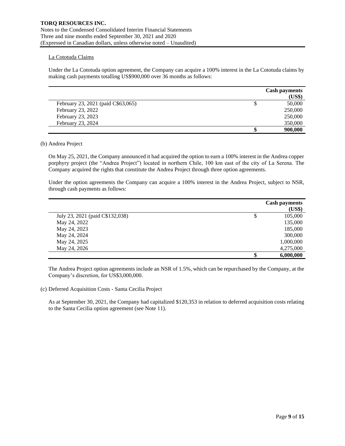### La Cototuda Claims

Under the La Cototuda option agreement, the Company can acquire a 100% interest in the La Cototuda claims by making cash payments totalling US\$900,000 over 36 months as follows:

|                                    |   | <b>Cash payments</b> |
|------------------------------------|---|----------------------|
|                                    |   | (US\$)               |
| February 23, 2021 (paid C\$63,065) | D | 50,000               |
| February 23, 2022                  |   | 250,000              |
| February 23, 2023                  |   | 250,000              |
| February 23, 2024                  |   | 350,000              |
|                                    |   | 900,000              |

### (b) Andrea Project

On May 25, 2021, the Company announced it had acquired the option to earn a 100% interest in the Andrea copper porphyry project (the "Andrea Project") located in northern Chile, 100 km east of the city of La Serena. The Company acquired the rights that constitute the Andrea Project through three option agreements.

Under the option agreements the Company can acquire a 100% interest in the Andrea Project, subject to NSR, through cash payments as follows:

|                                 | <b>Cash payments</b><br>(US\$) |
|---------------------------------|--------------------------------|
| July 23, 2021 (paid C\$132,038) | \$<br>105,000                  |
| May 24, 2022                    | 135,000                        |
| May 24, 2023                    | 185,000                        |
| May 24, 2024                    | 300,000                        |
| May 24, 2025                    | 1,000,000                      |
| May 24, 2026                    | 4,275,000                      |
|                                 | \$<br>6,000,000                |

The Andrea Project option agreements include an NSR of 1.5%, which can be repurchased by the Company, at the Company's discretion, for US\$3,000,000.

(c) Deferred Acquisition Costs - Santa Cecilia Project

As at September 30, 2021, the Company had capitalized \$120,353 in relation to deferred acquisition costs relating to the Santa Cecilia option agreement (see Note 11).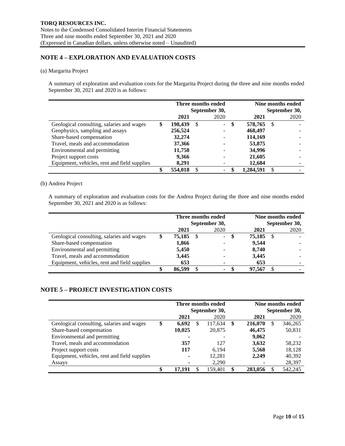## **NOTE 4 – EXPLORATION AND EVALUATION COSTS**

### (a) Margarita Project

A summary of exploration and evaluation costs for the Margarita Project during the three and nine months ended September 30, 2021 and 2020 is as follows:

|                                              | Three months ended |               |   |      |   |           | Nine months ended |      |  |
|----------------------------------------------|--------------------|---------------|---|------|---|-----------|-------------------|------|--|
|                                              |                    | September 30, |   |      |   |           | September 30,     |      |  |
|                                              |                    | 2021          |   | 2020 |   | 2021      |                   | 2020 |  |
| Geological consulting, salaries and wages    | \$                 | 198.439       | S | Ξ.   | S | 578,765   | <sup>\$</sup>     |      |  |
| Geophysics, sampling and assays              |                    | 256,524       |   |      |   | 468,497   |                   |      |  |
| Share-based compensation                     |                    | 32,274        |   |      |   | 114,169   |                   |      |  |
| Travel, meals and accommodation              |                    | 37,366        |   |      |   | 53,875    |                   |      |  |
| Environmental and permitting                 |                    | 11,758        |   |      |   | 34,996    |                   |      |  |
| Project support costs                        |                    | 9,366         |   |      |   | 21,605    |                   |      |  |
| Equipment, vehicles, rent and field supplies |                    | 8,291         |   |      |   | 12,684    |                   |      |  |
|                                              |                    | 554,018       |   | Ξ.   |   | 1.284.591 |                   |      |  |

### (b) Andrea Project

A summary of exploration and evaluation costs for the Andrea Project during the three and nine months ended September 30, 2021 and 2020 is as follows:

|                                              |           | Three months ended<br>September 30, |   | Nine months ended<br>September 30, |  |      |
|----------------------------------------------|-----------|-------------------------------------|---|------------------------------------|--|------|
|                                              | 2021      | 2020                                |   | 2021                               |  | 2020 |
| Geological consulting, salaries and wages    | 75,185 \$ | $\sim$                              | S | 75,185                             |  |      |
| Share-based compensation                     | 1,866     |                                     |   | 9.544                              |  |      |
| Environmental and permitting                 | 5,450     |                                     |   | 8,740                              |  |      |
| Travel, meals and accommodation              | 3,445     |                                     |   | 3,445                              |  |      |
| Equipment, vehicles, rent and field supplies | 653       |                                     |   | 653                                |  |      |
|                                              | 86.599    | Ξ.                                  |   | 97.567                             |  |      |

# **NOTE 5 – PROJECT INVESTIGATION COSTS**

|                                              | Three months ended |    |               |    | Nine months ended |   |         |  |  |
|----------------------------------------------|--------------------|----|---------------|----|-------------------|---|---------|--|--|
|                                              |                    |    | September 30, |    | September 30,     |   |         |  |  |
|                                              | 2021               |    | 2020          |    | 2021              |   | 2020    |  |  |
| Geological consulting, salaries and wages    | \$<br>6,692        | \$ | 117,634       | \$ | 216,070           | S | 346,265 |  |  |
| Share-based compensation                     | 10,025             |    | 20,875        |    | 46,475            |   | 50,831  |  |  |
| Environmental and permitting                 |                    |    |               |    | 9,062             |   |         |  |  |
| Travel, meals and accommodation              | 357                |    | 127           |    | 3,632             |   | 58,232  |  |  |
| Project support costs                        | 117                |    | 6,194         |    | 5,568             |   | 18,128  |  |  |
| Equipment, vehicles, rent and field supplies | $\blacksquare$     |    | 12,281        |    | 2,249             |   | 40,392  |  |  |
| Assays                                       |                    |    | 2,290         |    |                   |   | 28,397  |  |  |
|                                              | 17.191             |    | 159.401       | \$ | 283,056           |   | 542.245 |  |  |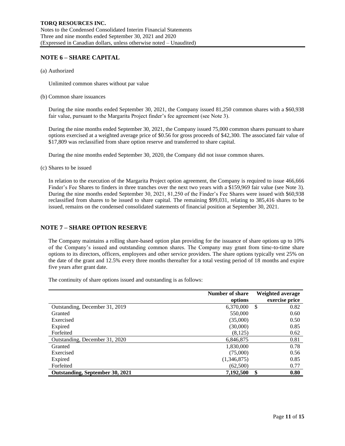## **NOTE 6 – SHARE CAPITAL**

(a) Authorized

Unlimited common shares without par value

(b) Common share issuances

During the nine months ended September 30, 2021, the Company issued 81,250 common shares with a \$60,938 fair value, pursuant to the Margarita Project finder's fee agreement (see Note 3).

During the nine months ended September 30, 2021, the Company issued 75,000 common shares pursuant to share options exercised at a weighted average price of \$0.56 for gross proceeds of \$42,300. The associated fair value of \$17,809 was reclassified from share option reserve and transferred to share capital.

During the nine months ended September 30, 2020, the Company did not issue common shares.

(c) Shares to be issued

In relation to the execution of the Margarita Project option agreement, the Company is required to issue 466,666 Finder's Fee Shares to finders in three tranches over the next two years with a \$159,969 fair value (see Note 3). During the nine months ended September 30, 2021, 81,250 of the Finder's Fee Shares were issued with \$60,938 reclassified from shares to be issued to share capital. The remaining \$99,031, relating to 385,416 shares to be issued, remains on the condensed consolidated statements of financial position at September 30, 2021.

## **NOTE 7 – SHARE OPTION RESERVE**

The Company maintains a rolling share-based option plan providing for the issuance of share options up to 10% of the Company's issued and outstanding common shares. The Company may grant from time-to-time share options to its directors, officers, employees and other service providers. The share options typically vest 25% on the date of the grant and 12.5% every three months thereafter for a total vesting period of 18 months and expire five years after grant date.

The continuity of share options issued and outstanding is as follows:

|                                 | <b>Number of share</b><br>options | Weighted average<br>exercise price |
|---------------------------------|-----------------------------------|------------------------------------|
| Outstanding, December 31, 2019  | 6,370,000                         | 0.82<br><sup>\$</sup>              |
| Granted                         | 550,000                           | 0.60                               |
| Exercised                       | (35,000)                          | 0.50                               |
| Expired                         | (30,000)                          | 0.85                               |
| Forfeited                       | (8,125)                           | 0.62                               |
| Outstanding, December 31, 2020  | 6,846,875                         | 0.81                               |
| Granted                         | 1,830,000                         | 0.78                               |
| Exercised                       | (75,000)                          | 0.56                               |
| Expired                         | (1,346,875)                       | 0.85                               |
| Forfeited                       | (62,500)                          | 0.77                               |
| Outstanding, September 30, 2021 | 7,192,500                         | \$<br>0.80                         |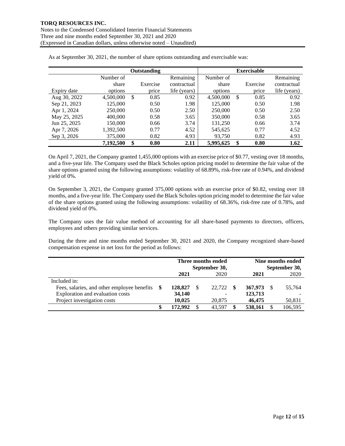|              |           | <b>Outstanding</b> |              |           | <b>Exercisable</b> |              |
|--------------|-----------|--------------------|--------------|-----------|--------------------|--------------|
|              | Number of |                    | Remaining    | Number of |                    | Remaining    |
|              | share     | Exercise           | contractual  | share     | Exercise           | contractual  |
| Expiry date  | options   | price              | life (years) | options   | price              | life (years) |
| Aug 30, 2022 | 4,500,000 | \$<br>0.85         | 0.92         | 4,500,000 | \$<br>0.85         | 0.92         |
| Sep 21, 2023 | 125,000   | 0.50               | 1.98         | 125,000   | 0.50               | 1.98         |
| Apr 1, 2024  | 250,000   | 0.50               | 2.50         | 250,000   | 0.50               | 2.50         |
| May 25, 2025 | 400,000   | 0.58               | 3.65         | 350,000   | 0.58               | 3.65         |
| Jun 25, 2025 | 150,000   | 0.66               | 3.74         | 131,250   | 0.66               | 3.74         |
| Apr 7, 2026  | 1,392,500 | 0.77               | 4.52         | 545,625   | 0.77               | 4.52         |
| Sep 3, 2026  | 375,000   | 0.82               | 4.93         | 93.750    | 0.82               | 4.93         |
|              | 7,192,500 | \$<br>0.80         | 2.11         | 5,995,625 | \$<br>0.80         | 1.62         |

As at September 30, 2021, the number of share options outstanding and exercisable was:

On April 7, 2021, the Company granted 1,455,000 options with an exercise price of \$0.77, vesting over 18 months, and a five-year life. The Company used the Black Scholes option pricing model to determine the fair value of the share options granted using the following assumptions: volatility of 68.89%, risk-free rate of 0.94%, and dividend yield of 0%.

On September 3, 2021, the Company granted 375,000 options with an exercise price of \$0.82, vesting over 18 months, and a five-year life. The Company used the Black Scholes option pricing model to determine the fair value of the share options granted using the following assumptions: volatility of 68.36%, risk-free rate of 0.78%, and dividend yield of 0%.

The Company uses the fair value method of accounting for all share-based payments to directors, officers, employees and others providing similar services.

During the three and nine months ended September 30, 2021 and 2020, the Company recognized share-based compensation expense in net loss for the period as follows:

|                                             |   | Three months ended<br>September 30, |  |        |  | Nine months ended<br>September 30, |  |         |  |
|---------------------------------------------|---|-------------------------------------|--|--------|--|------------------------------------|--|---------|--|
|                                             |   | 2021                                |  | 2020   |  | 2021                               |  | 2020    |  |
| Included in:                                |   |                                     |  |        |  |                                    |  |         |  |
| Fees, salaries, and other employee benefits |   | 128,827                             |  | 22,722 |  | 367,973                            |  | 55,764  |  |
| Exploration and evaluation costs            |   | 34,140                              |  |        |  | 123,713                            |  |         |  |
| Project investigation costs                 |   | 10.025                              |  | 20,875 |  | 46,475                             |  | 50,831  |  |
|                                             | S | 172.992                             |  | 43,597 |  | 538,161                            |  | 106,595 |  |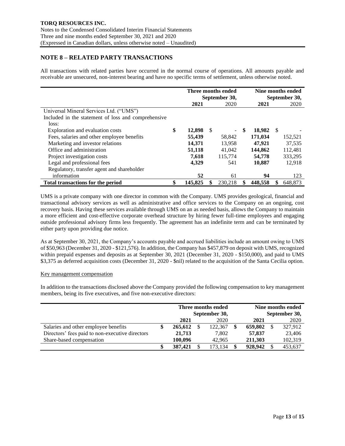## **NOTE 8 – RELATED PARTY TRANSACTIONS**

All transactions with related parties have occurred in the normal course of operations. All amounts payable and receivable are unsecured, non-interest bearing and have no specific terms of settlement, unless otherwise noted.

|                                                     | Three months ended<br>September 30, |    |         |      | Nine months ended<br>September 30, |     |         |  |
|-----------------------------------------------------|-------------------------------------|----|---------|------|------------------------------------|-----|---------|--|
|                                                     | 2021                                |    | 2020    |      | 2021                               |     | 2020    |  |
| Universal Mineral Services Ltd. ("UMS")             |                                     |    |         |      |                                    |     |         |  |
| Included in the statement of loss and comprehensive |                                     |    |         |      |                                    |     |         |  |
| loss:                                               |                                     |    |         |      |                                    |     |         |  |
| Exploration and evaluation costs                    | \$<br>12,898                        | -S |         | - \$ | 18.982                             | - S |         |  |
| Fees, salaries and other employee benefits          | 55,439                              |    | 58,842  |      | 171,034                            |     | 152,521 |  |
| Marketing and investor relations                    | 14,371                              |    | 13,958  |      | 47.921                             |     | 37,535  |  |
| Office and administration                           | 51,118                              |    | 41.042  |      | 144,862                            |     | 112.481 |  |
| Project investigation costs                         | 7,618                               |    | 115,774 |      | 54,778                             |     | 333,295 |  |
| Legal and professional fees                         | 4,329                               |    | 541     |      | 10,887                             |     | 12,918  |  |
| Regulatory, transfer agent and shareholder          |                                     |    |         |      |                                    |     |         |  |
| information                                         | 52                                  |    | 61      |      | 94                                 |     | 123     |  |
| <b>Total transactions for the period</b>            | 145,825                             | \$ | 230.218 |      | 448.558                            |     | 648.873 |  |

UMS is a private company with one director in common with the Company. UMS provides geological, financial and transactional advisory services as well as administrative and office services to the Company on an ongoing, cost recovery basis. Having these services available through UMS on an as needed basis, allows the Company to maintain a more efficient and cost-effective corporate overhead structure by hiring fewer full-time employees and engaging outside professional advisory firms less frequently. The agreement has an indefinite term and can be terminated by either party upon providing due notice.

As at September 30, 2021, the Company's accounts payable and accrued liabilities include an amount owing to UMS of \$50,963 (December 31, 2020 - \$121,576). In addition, the Company has \$457,879 on deposit with UMS, recognized within prepaid expenses and deposits as at September 30, 2021 (December 31, 2020 - \$150,000), and paid to UMS \$3,375 as deferred acquisition costs (December 31, 2020 - \$nil) related to the acquisition of the Santa Cecilia option.

### Key management compensation

In addition to the transactions disclosed above the Company provided the following compensation to key management members, being its five executives, and five non-executive directors:

|                                                 |   | Three months ended<br>September 30, |  |         |  | Nine months ended<br>September 30, |  |         |  |  |
|-------------------------------------------------|---|-------------------------------------|--|---------|--|------------------------------------|--|---------|--|--|
|                                                 |   | 2021                                |  | 2020    |  | 2021                               |  | 2020    |  |  |
| Salaries and other employee benefits            | Φ | 265,612                             |  | 122,367 |  | 659,802                            |  | 327,912 |  |  |
| Directors' fees paid to non-executive directors |   | 21,713                              |  | 7.802   |  | 57,837                             |  | 23,406  |  |  |
| Share-based compensation                        |   | 100.096                             |  | 42,965  |  | 211.303                            |  | 102,319 |  |  |
|                                                 |   | 387,421                             |  | 173.134 |  | 928,942                            |  | 453,637 |  |  |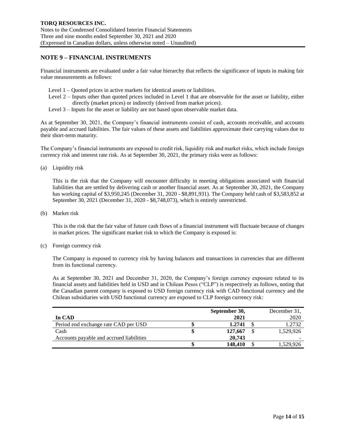### **NOTE 9 – FINANCIAL INSTRUMENTS**

Financial instruments are evaluated under a fair value hierarchy that reflects the significance of inputs in making fair value measurements as follows:

- Level 1 Quoted prices in active markets for identical assets or liabilities.
- Level 2 Inputs other than quoted prices included in Level 1 that are observable for the asset or liability, either directly (market prices) or indirectly (derived from market prices).
- Level 3 Inputs for the asset or liability are not based upon observable market data.

As at September 30, 2021, the Company's financial instruments consist of cash, accounts receivable, and accounts payable and accrued liabilities. The fair values of these assets and liabilities approximate their carrying values due to their short-term maturity.

The Company's financial instruments are exposed to credit risk, liquidity risk and market risks, which include foreign currency risk and interest rate risk. As at September 30, 2021, the primary risks were as follows:

(a) Liquidity risk

This is the risk that the Company will encounter difficulty in meeting obligations associated with financial liabilities that are settled by delivering cash or another financial asset. As at September 30, 2021, the Company has working capital of \$3,950,245 (December 31, 2020 - \$8,891,931). The Company held cash of \$3,583,852 at September 30, 2021 (December 31, 2020 - \$8,748,073), which is entirely unrestricted.

(b) Market risk

This is the risk that the fair value of future cash flows of a financial instrument will fluctuate because of changes in market prices. The significant market risk to which the Company is exposed is:

(c) Foreign currency risk

The Company is exposed to currency risk by having balances and transactions in currencies that are different from its functional currency.

As at September 30, 2021 and December 31, 2020, the Company's foreign currency exposure related to its financial assets and liabilities held in USD and in Chilean Pesos ("CLP") is respectively as follows, noting that the Canadian parent company is exposed to USD foreign currency risk with CAD functional currency and the Chilean subsidiaries with USD functional currency are exposed to CLP foreign currency risk:

|                                          | September 30, |         |  | December 31, |
|------------------------------------------|---------------|---------|--|--------------|
| In CAD                                   |               | 2021    |  | 2020         |
| Period end exchange rate CAD per USD     |               | 1.2741  |  | 1.2732       |
| Cash                                     |               | 127,667 |  | 1,529,926    |
| Accounts payable and accrued liabilities |               | 20,743  |  | -            |
|                                          |               | 148,410 |  | 1,529,926    |